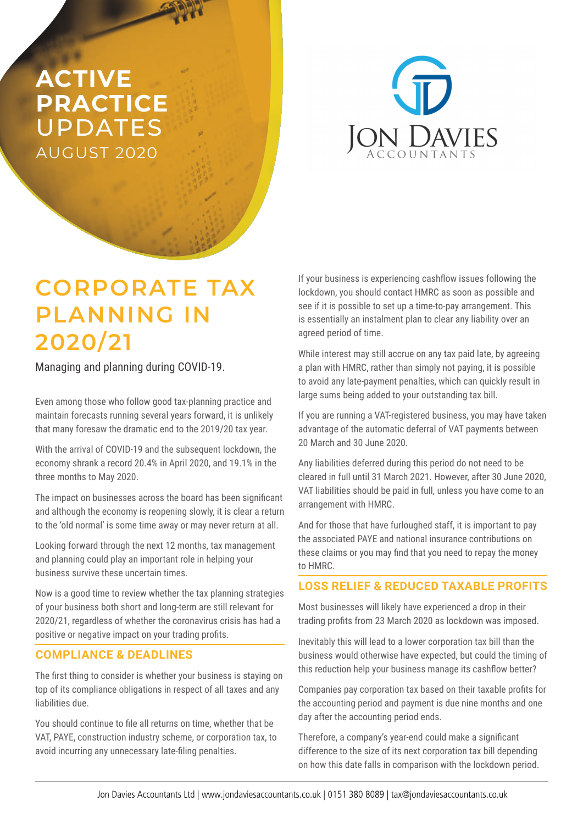## **ACTIVE PRACTICE**  UPDATES AUGUST 2020



# **CORPORATE TAX PLANNING IN 2020/21**

Managing and planning during COVID-19.

Even among those who follow good tax-planning practice and maintain forecasts running several years forward, it is unlikely that many foresaw the dramatic end to the 2019/20 tax year.

With the arrival of COVID-19 and the subsequent lockdown, the economy shrank a record 20.4% in April 2020, and 19.1% in the three months to May 2020.

The impact on businesses across the board has been significant and although the economy is reopening slowly, it is clear a return to the 'old normal' is some time away or may never return at all.

Looking forward through the next 12 months, tax management and planning could play an important role in helping your business survive these uncertain times.

Now is a good time to review whether the tax planning strategies of your business both short and long-term are still relevant for 2020/21, regardless of whether the coronavirus crisis has had a positive or negative impact on your trading profits.

### **COMPLIANCE & DEADLINES**

The first thing to consider is whether your business is staying on top of its compliance obligations in respect of all taxes and any liabilities due.

You should continue to file all returns on time, whether that be VAT, PAYE, construction industry scheme, or corporation tax, to avoid incurring any unnecessary late-filing penalties.

If your business is experiencing cashflow issues following the lockdown, you should contact HMRC as soon as possible and see if it is possible to set up a time-to-pay arrangement. This is essentially an instalment plan to clear any liability over an agreed period of time.

While interest may still accrue on any tax paid late, by agreeing a plan with HMRC, rather than simply not paying, it is possible to avoid any late-payment penalties, which can quickly result in large sums being added to your outstanding tax bill.

If you are running a VAT-registered business, you may have taken advantage of the automatic deferral of VAT payments between 20 March and 30 June 2020.

Any liabilities deferred during this period do not need to be cleared in full until 31 March 2021. However, after 30 June 2020, VAT liabilities should be paid in full, unless you have come to an arrangement with HMRC.

And for those that have furloughed staff, it is important to pay the associated PAYE and national insurance contributions on these claims or you may find that you need to repay the money to HMRC.

### **LOSS RELIEF & REDUCED TAXABLE PROFITS**

Most businesses will likely have experienced a drop in their trading profits from 23 March 2020 as lockdown was imposed.

Inevitably this will lead to a lower corporation tax bill than the business would otherwise have expected, but could the timing of this reduction help your business manage its cashflow better?

Companies pay corporation tax based on their taxable profits for the accounting period and payment is due nine months and one day after the accounting period ends.

Therefore, a company's year-end could make a significant difference to the size of its next corporation tax bill depending on how this date falls in comparison with the lockdown period.